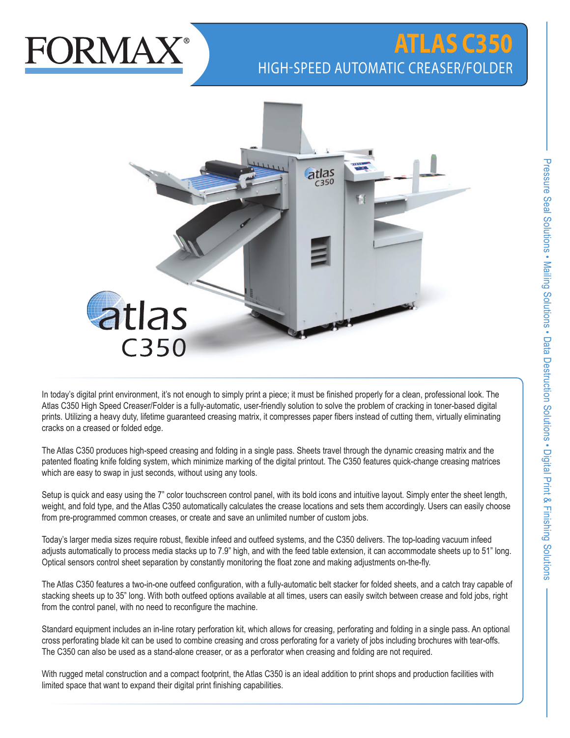

## **ATLAS C350** HIGH-SPEED AUTOMATIC CREASER/FOLDER



In today's digital print environment, it's not enough to simply print a piece; it must be finished properly for a clean, professional look. The Atlas C350 High Speed Creaser/Folder is a fully-automatic, user-friendly solution to solve the problem of cracking in toner-based digital prints. Utilizing a heavy duty, lifetime guaranteed creasing matrix, it compresses paper fibers instead of cutting them, virtually eliminating cracks on a creased or folded edge.

The Atlas C350 produces high-speed creasing and folding in a single pass. Sheets travel through the dynamic creasing matrix and the patented floating knife folding system, which minimize marking of the digital printout. The C350 features quick-change creasing matrices which are easy to swap in just seconds, without using any tools.

Setup is quick and easy using the 7" color touchscreen control panel, with its bold icons and intuitive layout. Simply enter the sheet length, weight, and fold type, and the Atlas C350 automatically calculates the crease locations and sets them accordingly. Users can easily choose from pre-programmed common creases, or create and save an unlimited number of custom jobs.

Today's larger media sizes require robust, flexible infeed and outfeed systems, and the C350 delivers. The top-loading vacuum infeed adjusts automatically to process media stacks up to 7.9" high, and with the feed table extension, it can accommodate sheets up to 51" long. Optical sensors control sheet separation by constantly monitoring the float zone and making adjustments on-the-fly.

The Atlas C350 features a two-in-one outfeed configuration, with a fully-automatic belt stacker for folded sheets, and a catch tray capable of stacking sheets up to 35" long. With both outfeed options available at all times, users can easily switch between crease and fold jobs, right from the control panel, with no need to reconfigure the machine.

Standard equipment includes an in-line rotary perforation kit, which allows for creasing, perforating and folding in a single pass. An optional cross perforating blade kit can be used to combine creasing and cross perforating for a variety of jobs including brochures with tear-offs. The C350 can also be used as a stand-alone creaser, or as a perforator when creasing and folding are not required.

With rugged metal construction and a compact footprint, the Atlas C350 is an ideal addition to print shops and production facilities with limited space that want to expand their digital print finishing capabilities.